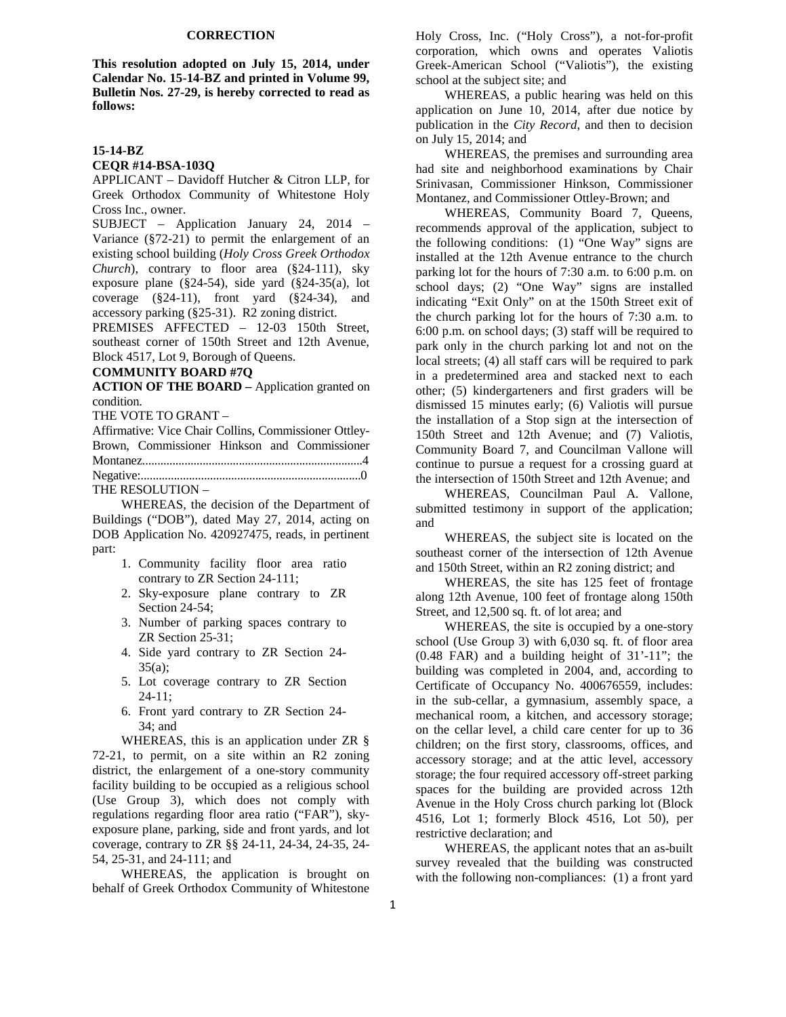### **CORRECTION**

**This resolution adopted on July 15, 2014, under Calendar No. 15-14-BZ and printed in Volume 99, Bulletin Nos. 27-29, is hereby corrected to read as follows:** 

# **15-14-BZ**

#### **CEQR #14-BSA-103Q**

APPLICANT – Davidoff Hutcher & Citron LLP, for Greek Orthodox Community of Whitestone Holy Cross Inc., owner.

SUBJECT – Application January 24, 2014 – Variance (§72-21) to permit the enlargement of an existing school building (*Holy Cross Greek Orthodox Church*), contrary to floor area (§24-111), sky exposure plane (§24-54), side yard (§24-35(a), lot coverage  $(\S 24-11)$ , front yard  $(\S 24-34)$ , and accessory parking (§25-31). R2 zoning district.

PREMISES AFFECTED – 12-03 150th Street, southeast corner of 150th Street and 12th Avenue, Block 4517, Lot 9, Borough of Queens.

### **COMMUNITY BOARD #7Q**

**ACTION OF THE BOARD –** Application granted on condition.

THE VOTE TO GRANT –

Affirmative: Vice Chair Collins, Commissioner Ottley-Brown, Commissioner Hinkson and Commissioner Montanez.........................................................................4 Negative:.........................................................................0

THE RESOLUTION –

 WHEREAS, the decision of the Department of Buildings ("DOB"), dated May 27, 2014, acting on DOB Application No. 420927475, reads, in pertinent part:

- 1. Community facility floor area ratio contrary to ZR Section 24-111;
- 2. Sky-exposure plane contrary to ZR Section 24-54;
- 3. Number of parking spaces contrary to ZR Section 25-31;
- 4. Side yard contrary to ZR Section 24-  $35(a)$ :
- 5. Lot coverage contrary to ZR Section 24-11;
- 6. Front yard contrary to ZR Section 24- 34; and

 WHEREAS, this is an application under ZR § 72-21, to permit, on a site within an R2 zoning district, the enlargement of a one-story community facility building to be occupied as a religious school (Use Group 3), which does not comply with regulations regarding floor area ratio ("FAR"), skyexposure plane, parking, side and front yards, and lot coverage, contrary to ZR §§ 24-11, 24-34, 24-35, 24- 54, 25-31, and 24-111; and

 WHEREAS, the application is brought on behalf of Greek Orthodox Community of Whitestone

Holy Cross, Inc. ("Holy Cross"), a not-for-profit corporation, which owns and operates Valiotis Greek-American School ("Valiotis"), the existing school at the subject site; and

 WHEREAS, a public hearing was held on this application on June 10, 2014, after due notice by publication in the *City Record*, and then to decision on July 15, 2014; and

 WHEREAS, the premises and surrounding area had site and neighborhood examinations by Chair Srinivasan, Commissioner Hinkson, Commissioner Montanez, and Commissioner Ottley-Brown; and

 WHEREAS, Community Board 7, Queens, recommends approval of the application, subject to the following conditions: (1) "One Way" signs are installed at the 12th Avenue entrance to the church parking lot for the hours of 7:30 a.m. to 6:00 p.m. on school days; (2) "One Way" signs are installed indicating "Exit Only" on at the 150th Street exit of the church parking lot for the hours of 7:30 a.m. to 6:00 p.m. on school days; (3) staff will be required to park only in the church parking lot and not on the local streets; (4) all staff cars will be required to park in a predetermined area and stacked next to each other; (5) kindergarteners and first graders will be dismissed 15 minutes early; (6) Valiotis will pursue the installation of a Stop sign at the intersection of 150th Street and 12th Avenue; and (7) Valiotis, Community Board 7, and Councilman Vallone will continue to pursue a request for a crossing guard at the intersection of 150th Street and 12th Avenue; and

 WHEREAS, Councilman Paul A. Vallone, submitted testimony in support of the application; and

 WHEREAS, the subject site is located on the southeast corner of the intersection of 12th Avenue and 150th Street, within an R2 zoning district; and

 WHEREAS, the site has 125 feet of frontage along 12th Avenue, 100 feet of frontage along 150th Street, and 12,500 sq. ft. of lot area; and

 WHEREAS, the site is occupied by a one-story school (Use Group 3) with 6,030 sq. ft. of floor area (0.48 FAR) and a building height of 31'-11"; the building was completed in 2004, and, according to Certificate of Occupancy No. 400676559, includes: in the sub-cellar, a gymnasium, assembly space, a mechanical room, a kitchen, and accessory storage; on the cellar level, a child care center for up to 36 children; on the first story, classrooms, offices, and accessory storage; and at the attic level, accessory storage; the four required accessory off-street parking spaces for the building are provided across 12th Avenue in the Holy Cross church parking lot (Block 4516, Lot 1; formerly Block 4516, Lot 50), per restrictive declaration; and

 WHEREAS, the applicant notes that an as-built survey revealed that the building was constructed with the following non-compliances: (1) a front yard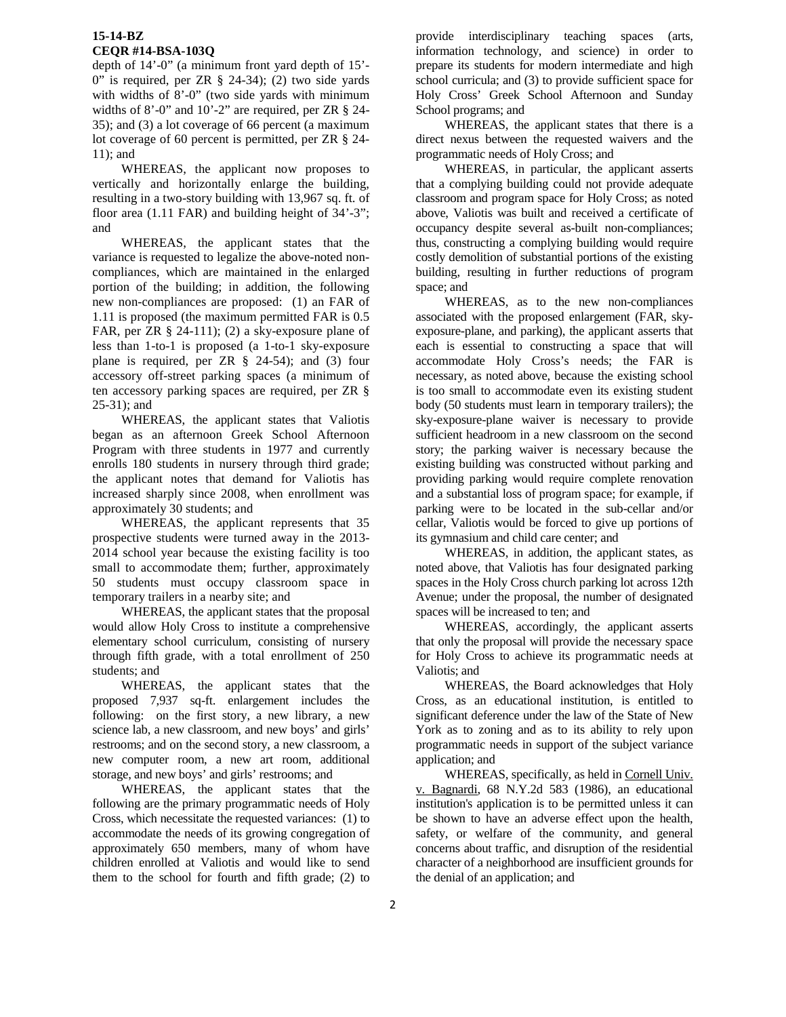# **15-14-BZ CEQR #14-BSA-103Q**

depth of 14'-0" (a minimum front yard depth of 15'- 0" is required, per ZR  $\S$  24-34); (2) two side yards with widths of 8'-0" (two side yards with minimum widths of 8'-0" and 10'-2" are required, per ZR § 24- 35); and (3) a lot coverage of 66 percent (a maximum lot coverage of 60 percent is permitted, per ZR § 24- 11); and

 WHEREAS, the applicant now proposes to vertically and horizontally enlarge the building, resulting in a two-story building with 13,967 sq. ft. of floor area (1.11 FAR) and building height of 34'-3"; and

 WHEREAS, the applicant states that the variance is requested to legalize the above-noted noncompliances, which are maintained in the enlarged portion of the building; in addition, the following new non-compliances are proposed: (1) an FAR of 1.11 is proposed (the maximum permitted FAR is 0.5 FAR, per ZR § 24-111); (2) a sky-exposure plane of less than 1-to-1 is proposed (a 1-to-1 sky-exposure plane is required, per ZR § 24-54); and (3) four accessory off-street parking spaces (a minimum of ten accessory parking spaces are required, per ZR § 25-31); and

 WHEREAS, the applicant states that Valiotis began as an afternoon Greek School Afternoon Program with three students in 1977 and currently enrolls 180 students in nursery through third grade; the applicant notes that demand for Valiotis has increased sharply since 2008, when enrollment was approximately 30 students; and

 WHEREAS, the applicant represents that 35 prospective students were turned away in the 2013- 2014 school year because the existing facility is too small to accommodate them; further, approximately 50 students must occupy classroom space in temporary trailers in a nearby site; and

 WHEREAS, the applicant states that the proposal would allow Holy Cross to institute a comprehensive elementary school curriculum, consisting of nursery through fifth grade, with a total enrollment of 250 students; and

 WHEREAS, the applicant states that the proposed 7,937 sq-ft. enlargement includes the following: on the first story, a new library, a new science lab, a new classroom, and new boys' and girls' restrooms; and on the second story, a new classroom, a new computer room, a new art room, additional storage, and new boys' and girls' restrooms; and

 WHEREAS, the applicant states that the following are the primary programmatic needs of Holy Cross, which necessitate the requested variances: (1) to accommodate the needs of its growing congregation of approximately 650 members, many of whom have children enrolled at Valiotis and would like to send them to the school for fourth and fifth grade; (2) to

provide interdisciplinary teaching spaces (arts, information technology, and science) in order to prepare its students for modern intermediate and high school curricula; and (3) to provide sufficient space for Holy Cross' Greek School Afternoon and Sunday School programs; and

 WHEREAS, the applicant states that there is a direct nexus between the requested waivers and the programmatic needs of Holy Cross; and

 WHEREAS, in particular, the applicant asserts that a complying building could not provide adequate classroom and program space for Holy Cross; as noted above, Valiotis was built and received a certificate of occupancy despite several as-built non-compliances; thus, constructing a complying building would require costly demolition of substantial portions of the existing building, resulting in further reductions of program space; and

 WHEREAS, as to the new non-compliances associated with the proposed enlargement (FAR, skyexposure-plane, and parking), the applicant asserts that each is essential to constructing a space that will accommodate Holy Cross's needs; the FAR is necessary, as noted above, because the existing school is too small to accommodate even its existing student body (50 students must learn in temporary trailers); the sky-exposure-plane waiver is necessary to provide sufficient headroom in a new classroom on the second story; the parking waiver is necessary because the existing building was constructed without parking and providing parking would require complete renovation and a substantial loss of program space; for example, if parking were to be located in the sub-cellar and/or cellar, Valiotis would be forced to give up portions of its gymnasium and child care center; and

 WHEREAS, in addition, the applicant states, as noted above, that Valiotis has four designated parking spaces in the Holy Cross church parking lot across 12th Avenue; under the proposal, the number of designated spaces will be increased to ten; and

 WHEREAS, accordingly, the applicant asserts that only the proposal will provide the necessary space for Holy Cross to achieve its programmatic needs at Valiotis; and

 WHEREAS, the Board acknowledges that Holy Cross, as an educational institution, is entitled to significant deference under the law of the State of New York as to zoning and as to its ability to rely upon programmatic needs in support of the subject variance application; and

 WHEREAS, specifically, as held in Cornell Univ. v. Bagnardi, 68 N.Y.2d 583 (1986), an educational institution's application is to be permitted unless it can be shown to have an adverse effect upon the health, safety, or welfare of the community, and general concerns about traffic, and disruption of the residential character of a neighborhood are insufficient grounds for the denial of an application; and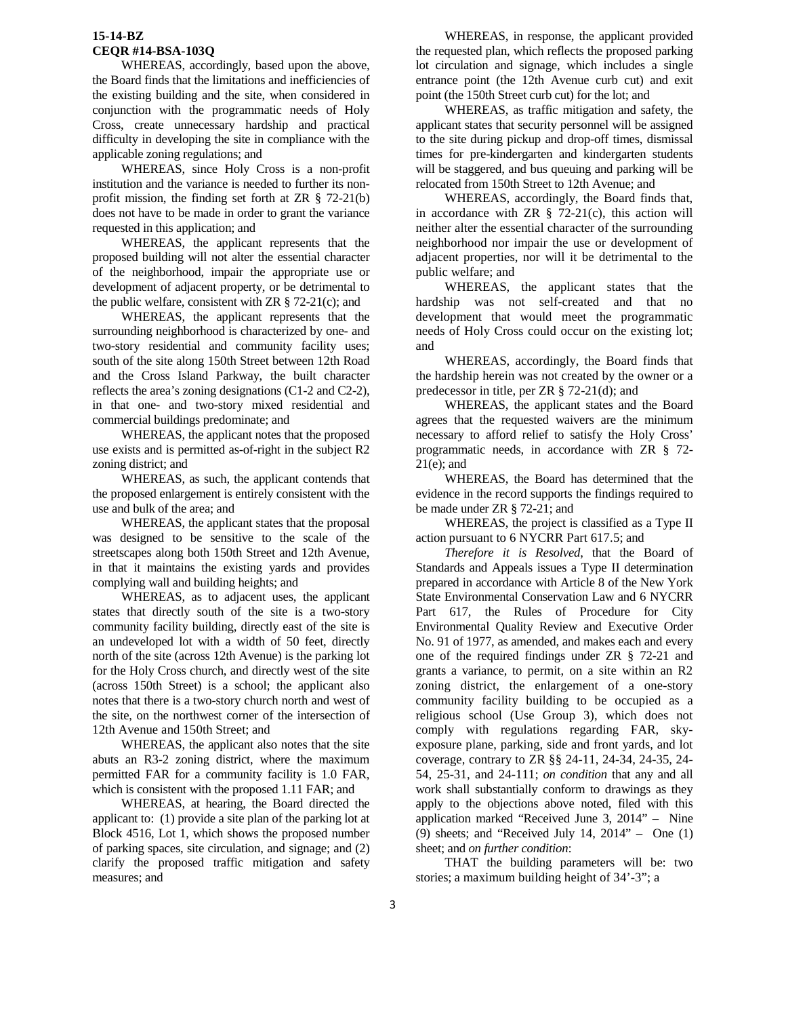# **15-14-BZ CEQR #14-BSA-103Q**

 WHEREAS, accordingly, based upon the above, the Board finds that the limitations and inefficiencies of the existing building and the site, when considered in conjunction with the programmatic needs of Holy Cross, create unnecessary hardship and practical difficulty in developing the site in compliance with the applicable zoning regulations; and

 WHEREAS, since Holy Cross is a non-profit institution and the variance is needed to further its nonprofit mission, the finding set forth at ZR § 72-21(b) does not have to be made in order to grant the variance requested in this application; and

 WHEREAS, the applicant represents that the proposed building will not alter the essential character of the neighborhood, impair the appropriate use or development of adjacent property, or be detrimental to the public welfare, consistent with  $\text{ZR} \S$  72-21(c); and

 WHEREAS, the applicant represents that the surrounding neighborhood is characterized by one- and two-story residential and community facility uses; south of the site along 150th Street between 12th Road and the Cross Island Parkway, the built character reflects the area's zoning designations (C1-2 and C2-2), in that one- and two-story mixed residential and commercial buildings predominate; and

 WHEREAS, the applicant notes that the proposed use exists and is permitted as-of-right in the subject R2 zoning district; and

 WHEREAS, as such, the applicant contends that the proposed enlargement is entirely consistent with the use and bulk of the area; and

 WHEREAS, the applicant states that the proposal was designed to be sensitive to the scale of the streetscapes along both 150th Street and 12th Avenue, in that it maintains the existing yards and provides complying wall and building heights; and

 WHEREAS, as to adjacent uses, the applicant states that directly south of the site is a two-story community facility building, directly east of the site is an undeveloped lot with a width of 50 feet, directly north of the site (across 12th Avenue) is the parking lot for the Holy Cross church, and directly west of the site (across 150th Street) is a school; the applicant also notes that there is a two-story church north and west of the site, on the northwest corner of the intersection of 12th Avenue and 150th Street; and

 WHEREAS, the applicant also notes that the site abuts an R3-2 zoning district, where the maximum permitted FAR for a community facility is 1.0 FAR, which is consistent with the proposed 1.11 FAR; and

 WHEREAS, at hearing, the Board directed the applicant to: (1) provide a site plan of the parking lot at Block 4516, Lot 1, which shows the proposed number of parking spaces, site circulation, and signage; and (2) clarify the proposed traffic mitigation and safety measures; and

 WHEREAS, in response, the applicant provided the requested plan, which reflects the proposed parking lot circulation and signage, which includes a single entrance point (the 12th Avenue curb cut) and exit point (the 150th Street curb cut) for the lot; and

 WHEREAS, as traffic mitigation and safety, the applicant states that security personnel will be assigned to the site during pickup and drop-off times, dismissal times for pre-kindergarten and kindergarten students will be staggered, and bus queuing and parking will be relocated from 150th Street to 12th Avenue; and

 WHEREAS, accordingly, the Board finds that, in accordance with  $ZR \S$  72-21(c), this action will neither alter the essential character of the surrounding neighborhood nor impair the use or development of adjacent properties, nor will it be detrimental to the public welfare; and

 WHEREAS, the applicant states that the hardship was not self-created and that no development that would meet the programmatic needs of Holy Cross could occur on the existing lot; and

 WHEREAS, accordingly, the Board finds that the hardship herein was not created by the owner or a predecessor in title, per ZR § 72-21(d); and

 WHEREAS, the applicant states and the Board agrees that the requested waivers are the minimum necessary to afford relief to satisfy the Holy Cross' programmatic needs, in accordance with ZR § 72- 21(e); and

 WHEREAS, the Board has determined that the evidence in the record supports the findings required to be made under ZR § 72-21; and

 WHEREAS, the project is classified as a Type II action pursuant to 6 NYCRR Part 617.5; and

*Therefore it is Resolved*, that the Board of Standards and Appeals issues a Type II determination prepared in accordance with Article 8 of the New York State Environmental Conservation Law and 6 NYCRR Part 617, the Rules of Procedure for City Environmental Quality Review and Executive Order No. 91 of 1977, as amended, and makes each and every one of the required findings under ZR § 72-21 and grants a variance, to permit, on a site within an R2 zoning district, the enlargement of a one-story community facility building to be occupied as a religious school (Use Group 3), which does not comply with regulations regarding FAR, skyexposure plane, parking, side and front yards, and lot coverage, contrary to ZR §§ 24-11, 24-34, 24-35, 24- 54, 25-31, and 24-111; *on condition* that any and all work shall substantially conform to drawings as they apply to the objections above noted, filed with this application marked "Received June 3, 2014" – Nine (9) sheets; and "Received July 14, 2014" – One (1) sheet; and *on further condition*:

 THAT the building parameters will be: two stories; a maximum building height of 34'-3"; a